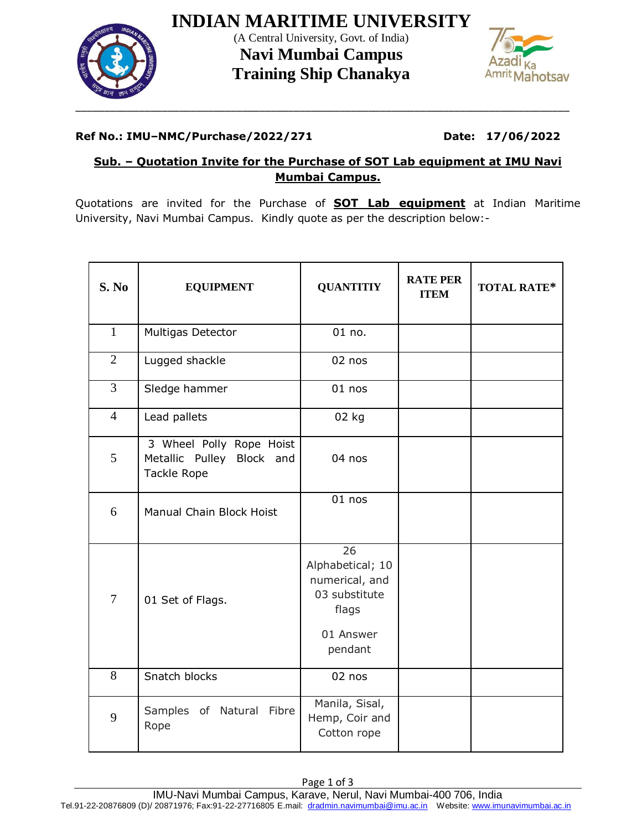

**INDIAN MARITIME UNIVERSITY** (A Central University, Govt. of India) **Navi Mumbai Campus Training Ship Chanakya**



#### **Ref No.: IMU–NMC/Purchase/2022/271 Date: 17/06/2022**

### **Sub. – Quotation Invite for the Purchase of SOT Lab equipment at IMU Navi Mumbai Campus.**

Quotations are invited for the Purchase of **SOT Lab equipment** at Indian Maritime University, Navi Mumbai Campus. Kindly quote as per the description below:-

| S. No          | <b>EQUIPMENT</b>                                                     | <b>QUANTITIY</b>                                                                           | <b>RATE PER</b><br><b>ITEM</b> | <b>TOTAL RATE*</b> |
|----------------|----------------------------------------------------------------------|--------------------------------------------------------------------------------------------|--------------------------------|--------------------|
| $\mathbf{1}$   | Multigas Detector                                                    | $01$ no.                                                                                   |                                |                    |
| $\overline{2}$ | Lugged shackle                                                       | 02 nos                                                                                     |                                |                    |
| $\overline{3}$ | Sledge hammer                                                        | $01$ nos                                                                                   |                                |                    |
| $\overline{4}$ | Lead pallets                                                         | 02 kg                                                                                      |                                |                    |
| 5              | 3 Wheel Polly Rope Hoist<br>Metallic Pulley Block and<br>Tackle Rope | 04 nos                                                                                     |                                |                    |
| 6              | Manual Chain Block Hoist                                             | $01$ nos                                                                                   |                                |                    |
| $\overline{7}$ | 01 Set of Flags.                                                     | 26<br>Alphabetical; 10<br>numerical, and<br>03 substitute<br>flags<br>01 Answer<br>pendant |                                |                    |
| 8              | Snatch blocks                                                        | 02 nos                                                                                     |                                |                    |
| 9              | Samples of Natural Fibre<br>Rope                                     | Manila, Sisal,<br>Hemp, Coir and<br>Cotton rope                                            |                                |                    |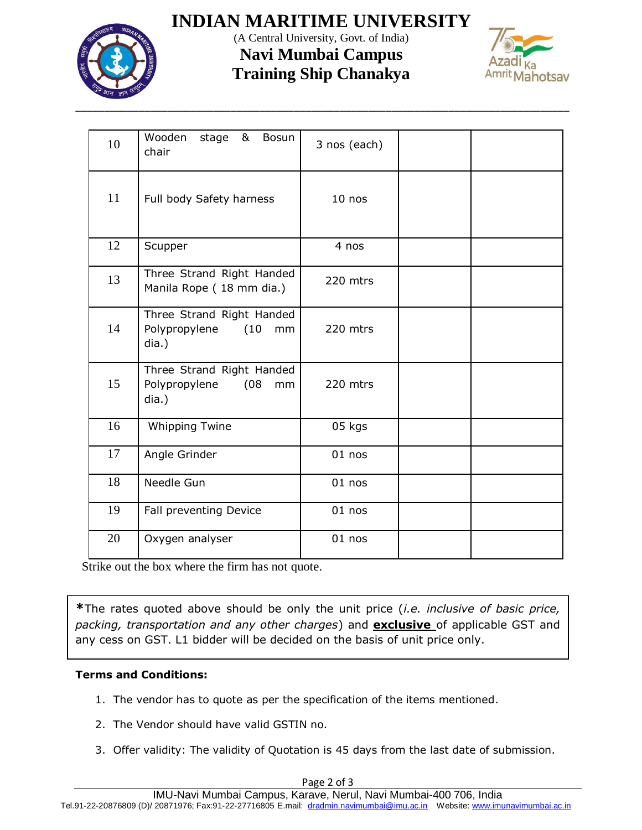

# **INDIAN MARITIME UNIVERSITY**

(A Central University, Govt. of India) **Navi Mumbai Campus**

# **Training Ship Chanakya**



| 10 | Wooden<br>stage<br>Bosun<br>&<br>chair                            | 3 nos (each) |  |
|----|-------------------------------------------------------------------|--------------|--|
| 11 | Full body Safety harness                                          | $10$ nos     |  |
| 12 | Scupper                                                           | 4 nos        |  |
| 13 | Three Strand Right Handed<br>Manila Rope (18 mm dia.)             | 220 mtrs     |  |
| 14 | Three Strand Right Handed<br>Polypropylene<br>(10)<br>mm<br>dia.) | 220 mtrs     |  |
| 15 | Three Strand Right Handed<br>Polypropylene<br>(08)<br>mm<br>dia.) | 220 mtrs     |  |
| 16 | <b>Whipping Twine</b>                                             | 05 kgs       |  |
| 17 | Angle Grinder                                                     | $01$ nos     |  |
| 18 | Needle Gun                                                        | $01$ nos     |  |
| 19 | Fall preventing Device                                            | $01$ nos     |  |
| 20 | Oxygen analyser                                                   | $01$ nos     |  |

Strike out the box where the firm has not quote.

**\***The rates quoted above should be only the unit price (*i.e. inclusive of basic price, packing, transportation and any other charges*) and **exclusive** of applicable GST and any cess on GST. L1 bidder will be decided on the basis of unit price only.

#### **Terms and Conditions:**

- 1. The vendor has to quote as per the specification of the items mentioned.
- 2. The Vendor should have valid GSTIN no.
- 3. Offer validity: The validity of Quotation is 45 days from the last date of submission.